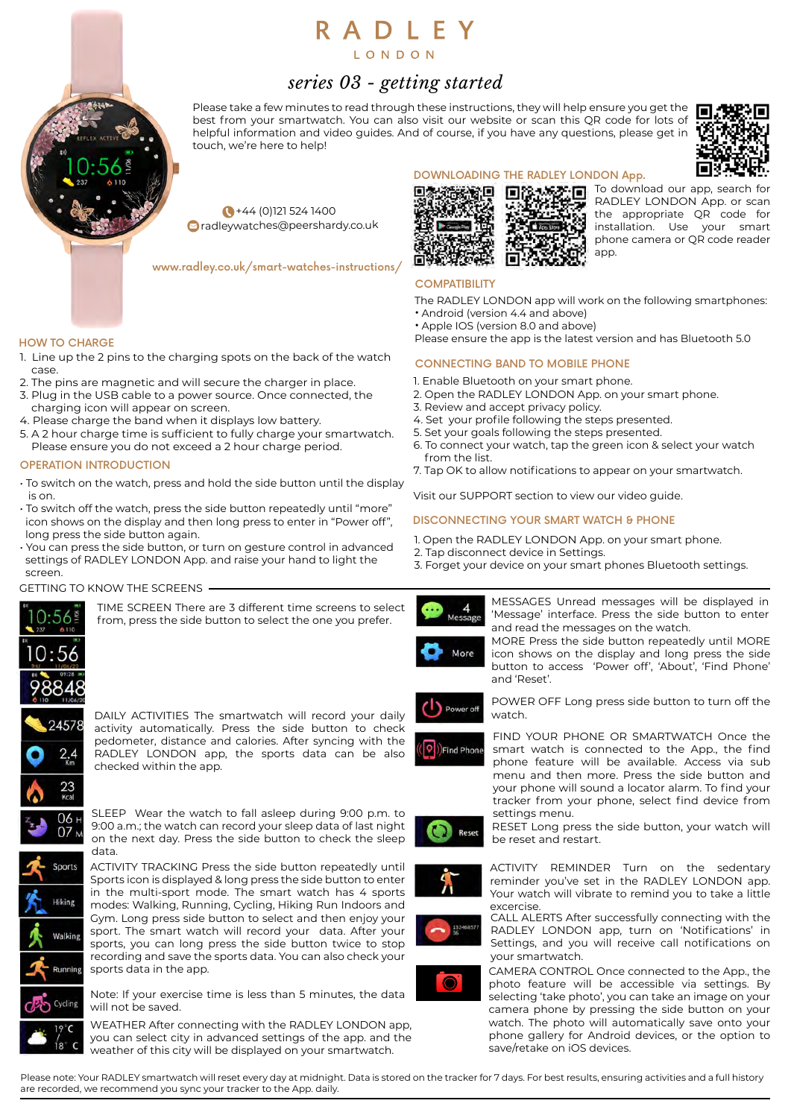# RADLEY

LONDON

# *series 03 - getting started*

Please take a few minutes to read through these instructions, they will help ensure you get the  $\blacksquare$ best from your smartwatch. You can also visit our website or scan this QR code for lots of helpful information and video guides. And of course, if you have any questions, please get in touch, we're here to help!



+44 (0)121 524 1400 radleywatches@peershardy.co.uk

www.radley.co.uk/smart-watches-instructions/

# HOW TO CHARGE

- 1. Line up the 2 pins to the charging spots on the back of the watch case.
- 2. The pins are magnetic and will secure the charger in place.
- 3. Plug in the USB cable to a power source. Once connected, the charging icon will appear on screen.
- 4. Please charge the band when it displays low battery.
- 5. A 2 hour charge time is sufficient to fully charge your smartwatch. Please ensure you do not exceed a 2 hour charge period.

# OPERATION INTRODUCTION

- To switch on the watch, press and hold the side button until the display is on.
- To switch off the watch, press the side button repeatedly until "more" icon shows on the display and then long press to enter in "Power off", long press the side button again.
- You can press the side button, or turn on gesture control in advanced settings of RADLEY LONDON App. and raise your hand to light the screen.

# GETTING TO KNOW THE SCREENS



TIME SCREEN There are 3 different time screens to select from, press the side button to select the one you prefer.

DAILY ACTIVITIES The smartwatch will record your daily



activity automatically. Press the side button to check pedometer, distance and calories. After syncing with the RADLEY LONDON app, the sports data can be also checked within the app.





in the multi-sport mode. The smart watch has 4 sports modes: Walking, Running, Cycling, Hiking Run Indoors and Gym. Long press side button to select and then enjoy your sport. The smart watch will record your data. After your sports, you can long press the side button twice to stop recording and save the sports data. You can also check your

Note: If your exercise time is less than 5 minutes, the data will not be saved.

WEATHER After connecting with the RADLEY LONDON app, you can select city in advanced settings of the app. and the weather of this city will be displayed on your smartwatch.



To download our app, search for RADLEY LONDON App. or scan the appropriate QR code for installation. Use your smart phone camera or QR code reader app.

# **COMPATIBILITY**

- The RADLEY LONDON app will work on the following smartphones:
- Android (version 4.4 and above) • Apple IOS (version 8.0 and above)
- Please ensure the app is the latest version and has Bluetooth 5.0

# CONNECTING BAND TO MOBILE PHONE

- 1. Enable Bluetooth on your smart phone.
- 2. Open the RADLEY LONDON App. on your smart phone.
- 3. Review and accept privacy policy.
- 4. Set your profile following the steps presented.
- 5. Set your goals following the steps presented.
- 6. To connect your watch, tap the green icon & select your watch from the list.
- 7. Tap OK to allow notifications to appear on your smartwatch.

Visit our SUPPORT section to view our video guide.

# DISCONNECTING YOUR SMART WATCH & PHONE

- 1. Open the RADLEY LONDON App. on your smart phone.
- 2. Tap disconnect device in Settings.
- 3. Forget your device on your smart phones Bluetooth settings.





MORE Press the side button repeatedly until MORE icon shows on the display and long press the side button to access 'Power off', 'About', 'Find Phone' and 'Reset'.



POWER OFF Long press side button to turn off the watch.



FIND YOUR PHONE OR SMARTWATCH Once the smart watch is connected to the App., the find phone feature will be available. Access via sub menu and then more. Press the side button and your phone will sound a locator alarm. To find your tracker from your phone, select find device from settings menu.

RESET Long press the side button, your watch will be reset and restart.



ACTIVITY REMINDER Turn on the sedentary reminder you've set in the RADLEY LONDON app. Your watch will vibrate to remind you to take a little excercise.

CALL ALERTS After successfully connecting with the RADLEY LONDON app, turn on 'Notifications' in Settings, and you will receive call notifications on your smartwatch.



CAMERA CONTROL Once connected to the App., the photo feature will be accessible via settings. By selecting 'take photo', you can take an image on your camera phone by pressing the side button on your watch. The photo will automatically save onto your phone gallery for Android devices, or the option to save/retake on iOS devices.

Please note: Your RADLEY smartwatch will reset every day at midnight. Data is stored on the tracker for 7 days. For best results, ensuring activities and a full history are recorded, we recommend you sync your tracker to the App. daily.